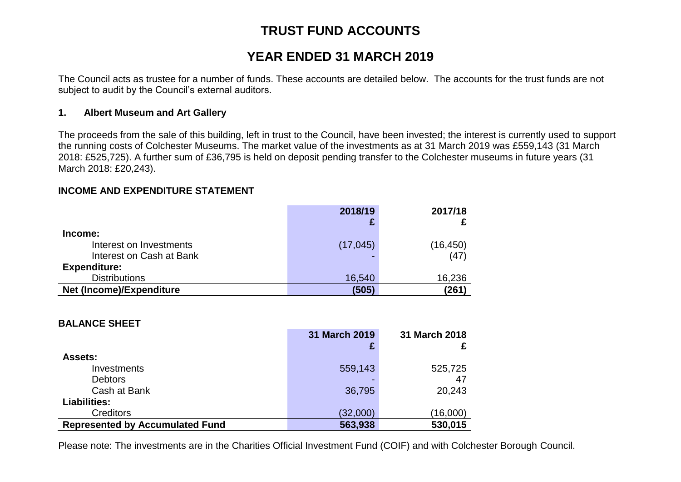# **TRUST FUND ACCOUNTS**

# **YEAR ENDED 31 MARCH 2019**

The Council acts as trustee for a number of funds. These accounts are detailed below. The accounts for the trust funds are not subject to audit by the Council's external auditors.

### **1. Albert Museum and Art Gallery**

The proceeds from the sale of this building, left in trust to the Council, have been invested; the interest is currently used to support the running costs of Colchester Museums. The market value of the investments as at 31 March 2019 was £559,143 (31 March 2018: £525,725). A further sum of £36,795 is held on deposit pending transfer to the Colchester museums in future years (31 March 2018: £20,243).

### **INCOME AND EXPENDITURE STATEMENT**

|                          | 2018/19   | 2017/18   |
|--------------------------|-----------|-----------|
|                          |           |           |
| Income:                  |           |           |
| Interest on Investments  | (17, 045) | (16, 450) |
| Interest on Cash at Bank |           | (47)      |
| <b>Expenditure:</b>      |           |           |
| <b>Distributions</b>     | 16,540    | 16,236    |
| Net (Income)/Expenditure | (505)     | (261)     |

#### **BALANCE SHEET**

|                                        | 31 March 2019 | 31 March 2018 |
|----------------------------------------|---------------|---------------|
|                                        |               |               |
| <b>Assets:</b>                         |               |               |
| Investments                            | 559,143       | 525,725       |
| <b>Debtors</b>                         |               | 47            |
| Cash at Bank                           | 36,795        | 20,243        |
| <b>Liabilities:</b>                    |               |               |
| <b>Creditors</b>                       | (32,000)      | (16,000)      |
| <b>Represented by Accumulated Fund</b> | 563,938       | 530,015       |

Please note: The investments are in the Charities Official Investment Fund (COIF) and with Colchester Borough Council.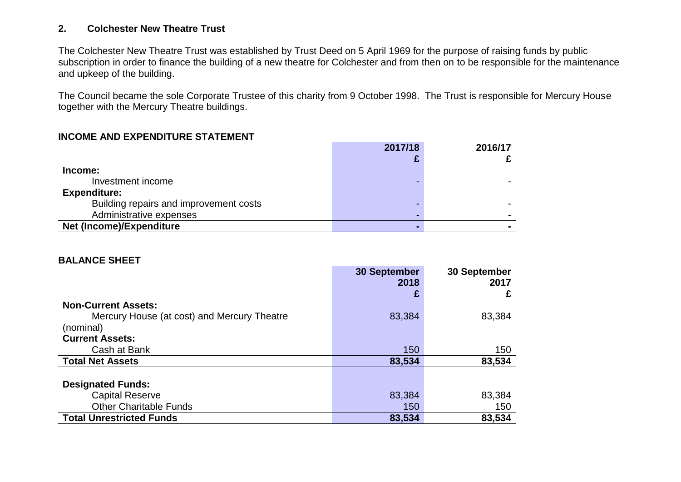## **2. Colchester New Theatre Trust**

The Colchester New Theatre Trust was established by Trust Deed on 5 April 1969 for the purpose of raising funds by public subscription in order to finance the building of a new theatre for Colchester and from then on to be responsible for the maintenance and upkeep of the building.

The Council became the sole Corporate Trustee of this charity from 9 October 1998. The Trust is responsible for Mercury House together with the Mercury Theatre buildings.

#### **INCOME AND EXPENDITURE STATEMENT**

|                                        | 2017/18 | 2016/17 |
|----------------------------------------|---------|---------|
| Income:                                |         |         |
| Investment income                      |         |         |
| <b>Expenditure:</b>                    |         |         |
| Building repairs and improvement costs |         |         |
| Administrative expenses                |         |         |
| Net (Income)/Expenditure               |         |         |

#### **BALANCE SHEET**

|                                             | <b>30 September</b> | 30 September |
|---------------------------------------------|---------------------|--------------|
|                                             | 2018                | 2017         |
|                                             | £                   | £            |
| <b>Non-Current Assets:</b>                  |                     |              |
| Mercury House (at cost) and Mercury Theatre | 83,384              | 83,384       |
| (nominal)                                   |                     |              |
| <b>Current Assets:</b>                      |                     |              |
| Cash at Bank                                | 150                 | 150          |
| <b>Total Net Assets</b>                     | 83,534              | 83,534       |
|                                             |                     |              |
| <b>Designated Funds:</b>                    |                     |              |
| <b>Capital Reserve</b>                      | 83,384              | 83,384       |
| <b>Other Charitable Funds</b>               | 150                 | 150          |
| <b>Total Unrestricted Funds</b>             | 83,534              | 83,534       |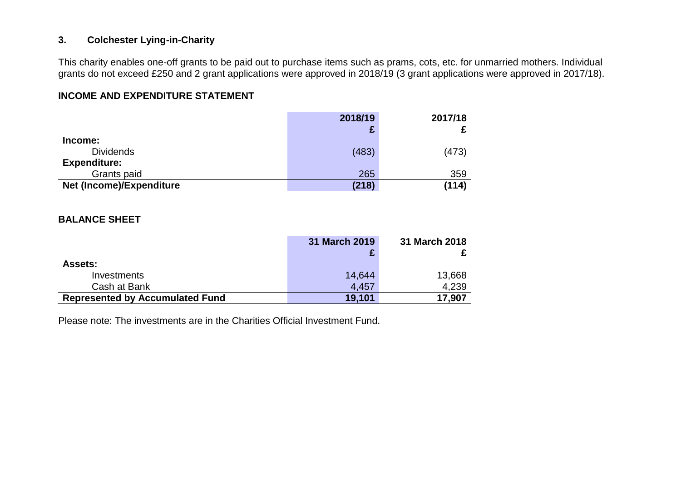## **3. Colchester Lying-in-Charity**

This charity enables one-off grants to be paid out to purchase items such as prams, cots, etc. for unmarried mothers. Individual grants do not exceed £250 and 2 grant applications were approved in 2018/19 (3 grant applications were approved in 2017/18).

## **INCOME AND EXPENDITURE STATEMENT**

|                                 | 2018/19 | 2017/18 |
|---------------------------------|---------|---------|
|                                 |         |         |
| Income:                         |         |         |
| <b>Dividends</b>                | (483)   | (473)   |
| <b>Expenditure:</b>             |         |         |
| Grants paid                     | 265     | 359     |
| <b>Net (Income)/Expenditure</b> | (218)   | (114)   |

#### **BALANCE SHEET**

|                                        | 31 March 2019 | 31 March 2018 |
|----------------------------------------|---------------|---------------|
|                                        |               |               |
| <b>Assets:</b>                         |               |               |
| Investments                            | 14,644        | 13,668        |
| Cash at Bank                           | 4,457         | 4,239         |
| <b>Represented by Accumulated Fund</b> | 19,101        | 17,907        |

Please note: The investments are in the Charities Official Investment Fund.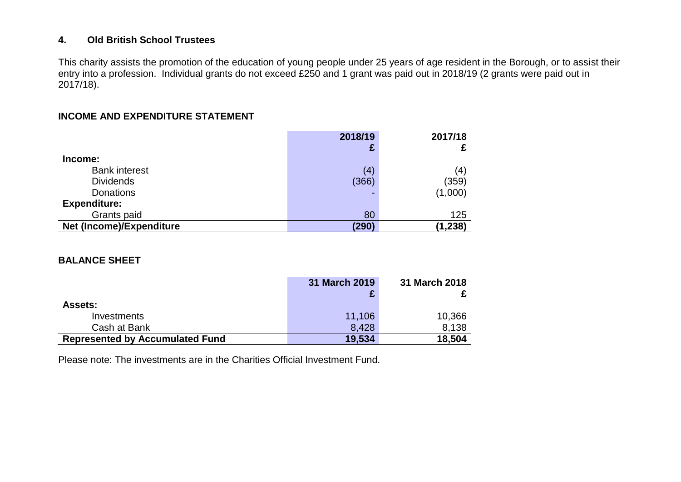## **4. Old British School Trustees**

This charity assists the promotion of the education of young people under 25 years of age resident in the Borough, or to assist their entry into a profession. Individual grants do not exceed £250 and 1 grant was paid out in 2018/19 (2 grants were paid out in 2017/18).

## **INCOME AND EXPENDITURE STATEMENT**

|                          | 2018/19 | 2017/18 |
|--------------------------|---------|---------|
| Income:                  |         |         |
| <b>Bank interest</b>     | (4)     | (4`     |
| <b>Dividends</b>         | (366)   | (359)   |
| <b>Donations</b>         |         | (1,000) |
| <b>Expenditure:</b>      |         |         |
| Grants paid              | 80      | 125     |
| Net (Income)/Expenditure | (290)   | (1,238) |

### **BALANCE SHEET**

|                                        | 31 March 2019 | 31 March 2018 |
|----------------------------------------|---------------|---------------|
|                                        |               |               |
| <b>Assets:</b>                         |               |               |
| Investments                            | 11,106        | 10,366        |
| Cash at Bank                           | 8,428         | 8.138         |
| <b>Represented by Accumulated Fund</b> | 19,534        | 18,504        |

Please note: The investments are in the Charities Official Investment Fund.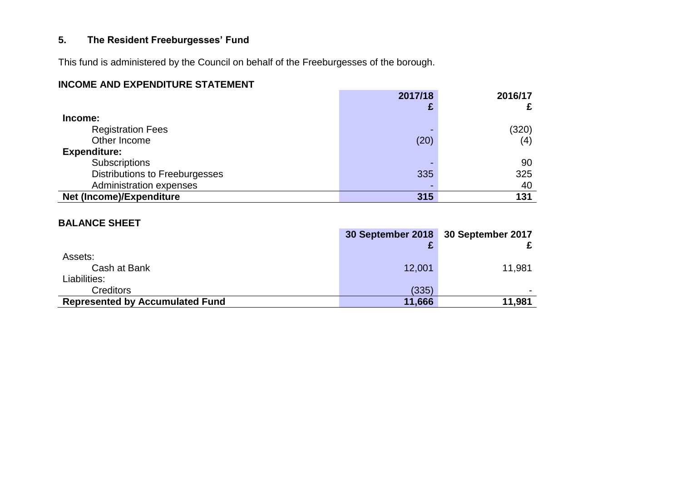# **5. The Resident Freeburgesses' Fund**

This fund is administered by the Council on behalf of the Freeburgesses of the borough.

# **INCOME AND EXPENDITURE STATEMENT**

|                                       | 2017/18 | 2016/17 |
|---------------------------------------|---------|---------|
|                                       |         |         |
| Income:                               |         |         |
| <b>Registration Fees</b>              |         | (320)   |
| Other Income                          | (20)    | (4)     |
| <b>Expenditure:</b>                   |         |         |
| Subscriptions                         |         | 90      |
| <b>Distributions to Freeburgesses</b> | 335     | 325     |
| Administration expenses               |         | 40      |
| Net (Income)/Expenditure              | 315     | 131     |

# **BALANCE SHEET**

|                                        |        | 30 September 2018 30 September 2017 |
|----------------------------------------|--------|-------------------------------------|
|                                        |        |                                     |
| Assets:                                |        |                                     |
| Cash at Bank                           | 12,001 | 11,981                              |
| Liabilities:                           |        |                                     |
| <b>Creditors</b>                       | (335)  |                                     |
| <b>Represented by Accumulated Fund</b> | 11,666 | 11,981                              |